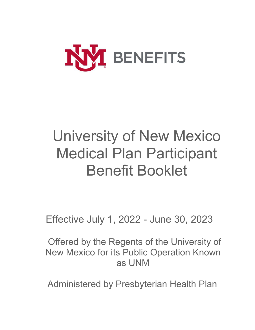

# University of New Mexico Medical Plan Participant Benefit Booklet

Effective July 1, 2022 - June 30, 2023

Offered by the Regents of the University of New Mexico for its Public Operation Known as UNM

Administered by Presbyterian Health Plan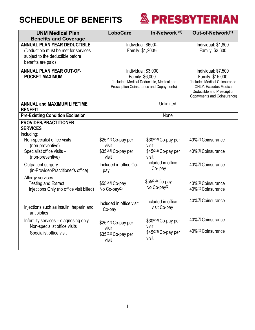

| <b>UNM Medical Plan</b>                  | <b>LoboCare</b>                          | In-Network <sup>(6)</sup>                  | Out-of-Network(1)             |
|------------------------------------------|------------------------------------------|--------------------------------------------|-------------------------------|
| <b>Benefits and Coverage</b>             |                                          |                                            | Individual: \$1,800           |
| <b>ANNUAL PLAN YEAR DEDUCTIBLE</b>       |                                          | Individual: \$600(3)                       |                               |
| (Deductible must be met for services     |                                          | Family: \$1,200(3)                         |                               |
| subject to the deductible before         |                                          |                                            |                               |
| benefits are paid)                       |                                          |                                            |                               |
| <b>ANNUAL PLAN YEAR OUT-OF-</b>          | Individual: \$3,000                      |                                            | Individual: \$7,500           |
| <b>POCKET MAXIMUM</b>                    | Family: \$6,000                          |                                            | Family: \$15,000              |
|                                          |                                          | (Includes: Medical Deductible, Medical and | (Includes Medical Coinsurance |
|                                          | Prescription Coinsurance and Copayments) |                                            | <b>ONLY.</b> Excludes Medical |
|                                          |                                          |                                            | Deductible and Prescription   |
|                                          |                                          |                                            | Copayments and Coinsurance)   |
| <b>ANNUAL and MAXIMUM LIFETIME</b>       |                                          | Unlimited                                  |                               |
| <b>BENEFIT</b>                           |                                          |                                            |                               |
| <b>Pre-Existing Condition Exclusion</b>  | None                                     |                                            |                               |
| <b>PROVIDER/PRACTITIONER</b>             |                                          |                                            |                               |
| <b>SERVICES</b>                          |                                          |                                            |                               |
| including:                               |                                          |                                            |                               |
| Non-specialist office visits -           | \$25(2,3) Co-pay per                     | \$30(2,3) Co-pay per                       | 40%(5) Coinsurance            |
| (non-preventive)                         | visit                                    | visit                                      |                               |
| Specialist office visits -               | \$35(2,3) Co-pay per                     | $$45^{(2,3)}$ Co-pay per                   | 40%(5) Coinsurance            |
| (non-preventive)                         | visit                                    | visit                                      |                               |
| Outpatient surgery                       | Included in office Co-                   | Included in office                         | 40%(5) Coinsurance            |
| (in-Provider/Practitioner's office)      | pay                                      | Co-pay                                     |                               |
| Allergy services                         |                                          |                                            |                               |
| <b>Testing and Extract</b>               | \$55(2,3) Co-pay                         | \$55(2,3) Co-pay                           | 40%(5) Coinsurance            |
|                                          |                                          | No $Co$ -pay $(2)$                         | 40%(5) Coinsurance            |
| Injections Only (no office visit billed) | No Co-pay <sup>(2)</sup>                 |                                            |                               |
|                                          |                                          | Included in office                         | 40%(5) Coinsurance            |
| Injections such as insulin, heparin and  | Included in office visit                 |                                            |                               |
| antibiotics                              | Co-pay                                   | visit Co-pay                               |                               |
|                                          |                                          |                                            |                               |
| Infertility services - diagnosing only   | \$25(2,3) Co-pay per                     | \$30(2,3) Co-pay per                       | 40%(5) Coinsurance            |
| Non-specialist office visits             | visit                                    | visit                                      |                               |
| Specialist office visit                  | \$35(2,3) Co-pay per                     | $$45^{(2,3)}$ Co-pay per                   | 40%(5) Coinsurance            |
|                                          | visit                                    | visit                                      |                               |
|                                          |                                          |                                            |                               |
|                                          |                                          |                                            |                               |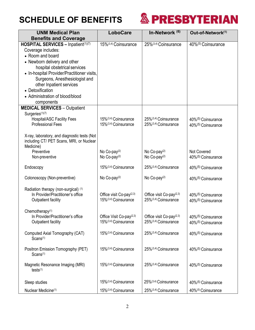

| <b>UNM Medical Plan</b>                                                                  | <b>LoboCare</b>                      | In-Network <sup>(6)</sup>            | Out-of-Network(1)              |
|------------------------------------------------------------------------------------------|--------------------------------------|--------------------------------------|--------------------------------|
| <b>Benefits and Coverage</b>                                                             |                                      |                                      |                                |
| HOSPITAL SERVICES - Inpatient(1)(7)                                                      | 15%(3,4) Coinsurance                 | 25%(3,4) Coinsurance                 | 40%(5) Coinsurance             |
| Coverage includes:                                                                       |                                      |                                      |                                |
| • Room and board                                                                         |                                      |                                      |                                |
| • Newborn delivery and other                                                             |                                      |                                      |                                |
| hospital obstetrical services                                                            |                                      |                                      |                                |
| • In-hospital Provider/Practitioner visits,                                              |                                      |                                      |                                |
| Surgeons, Anesthesiologist and                                                           |                                      |                                      |                                |
| other Inpatient services                                                                 |                                      |                                      |                                |
| • Detoxification                                                                         |                                      |                                      |                                |
| • Administration of blood/blood                                                          |                                      |                                      |                                |
| components                                                                               |                                      |                                      |                                |
| <b>MEDICAL SERVICES - Outpatient</b>                                                     |                                      |                                      |                                |
| Surgeries <sup>(1)(7)</sup>                                                              |                                      |                                      |                                |
| <b>Hospital/ASC Facility Fees</b>                                                        | 15%(3,4) Coinsurance                 | 25%(3,4) Coinsurance                 | 40%(5) Coinsurance             |
| <b>Professional Fees</b>                                                                 | 15%(3,4) Coinsurance                 | 25%(3,4) Coinsurance                 | 40%(5) Coinsurance             |
|                                                                                          |                                      |                                      |                                |
| X-ray, laboratory, and diagnostic tests (Not<br>including CT/ PET Scans, MRI, or Nuclear |                                      |                                      |                                |
| Medicine)                                                                                |                                      |                                      |                                |
| Preventive                                                                               | No Co-pay <sup>(2)</sup>             | No Co-pay <sup>(2)</sup>             | <b>Not Covered</b>             |
| Non-preventive                                                                           | No Co-pay <sup>(2)</sup>             | No Co-pay <sup>(2)</sup>             | 40% <sup>(5)</sup> Coinsurance |
|                                                                                          |                                      |                                      |                                |
| Endoscopy                                                                                | 15%(3,4) Coinsurance                 | 25%(3,4) Coinsurance                 | 40%(5) Coinsurance             |
| Colonoscopy (Non-preventive)                                                             | No Co-pay <sup>(2)</sup>             | No Co-pay <sup>(2)</sup>             | 40% <sup>(5)</sup> Coinsurance |
|                                                                                          |                                      |                                      |                                |
| Radiation therapy (non-surgical) (1)                                                     |                                      |                                      |                                |
| In Provider/Practitioner's office                                                        | Office visit Co-pay <sup>(2,3)</sup> | Office visit Co-pay <sup>(2,3)</sup> | 40%(5) Coinsurance             |
| Outpatient facility                                                                      | 15%(3,4) Coinsurance                 | 25%(3,4) Coinsurance                 | 40% <sup>(5)</sup> Coinsurance |
|                                                                                          |                                      |                                      |                                |
| Chemotherapy <sup>(1)</sup>                                                              |                                      |                                      |                                |
| In Provider/Practitioner's office                                                        | Office Visit Co-pay <sup>(2,3)</sup> | Office visit Co-pay <sup>(2,3)</sup> | 40%(5) Coinsurance             |
| Outpatient facility                                                                      | 15%(3,4) Coinsurance                 | 25%(3,4) Coinsurance                 | 40%(5) Coinsurance             |
| Computed Axial Tomography (CAT)                                                          | 15%(3,4) Coinsurance                 | 25%(3,4) Coinsurance                 | 40% <sup>(5)</sup> Coinsurance |
| Scans <sup>(1)</sup>                                                                     |                                      |                                      |                                |
|                                                                                          |                                      |                                      |                                |
| Positron Emission Tomography (PET)                                                       | 15%(3,4) Coinsurance                 | 25% <sup>(3,4)</sup> Coinsurance     | 40% <sup>(5)</sup> Coinsurance |
| Scans <sup>(1)</sup>                                                                     |                                      |                                      |                                |
|                                                                                          |                                      |                                      |                                |
| Magnetic Resonance Imaging (MRI)                                                         | 15%(3,4) Coinsurance                 | 25%(3,4) Coinsurance                 | 40% <sup>(5)</sup> Coinsurance |
| tests <sup>(1)</sup>                                                                     |                                      |                                      |                                |
|                                                                                          |                                      |                                      |                                |
| Sleep studies                                                                            | 15%(3,4) Coinsurance                 | 25%(3,4) Coinsurance                 | 40% <sup>(5)</sup> Coinsurance |
| Nuclear Medicine <sup>(1)</sup>                                                          | 15%(3,4) Coinsurance                 | 25%(3,4) Coinsurance                 | 40% <sup>(5)</sup> Coinsurance |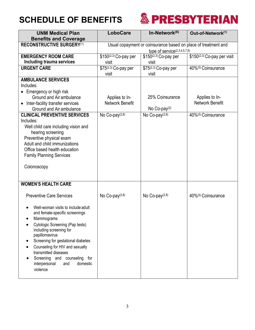

| <b>UNM Medical Plan</b>              | <b>LoboCare</b>                 | In-Network <sup>(6)</sup>                                      | Out-of-Network <sup>(1)</sup>                    |  |
|--------------------------------------|---------------------------------|----------------------------------------------------------------|--------------------------------------------------|--|
| <b>Benefits and Coverage</b>         |                                 |                                                                |                                                  |  |
| <b>RECONSTRUCTIVE SURGERY(1)</b>     |                                 | Usual copayment or coinsurance based on place of treatment and |                                                  |  |
|                                      | type of service $(2,3,4,5,7,9)$ |                                                                |                                                  |  |
| <b>EMERGENCY ROOM CARE</b>           | \$150(2,3) Co-pay per           | \$150(2,3) Co-pay per                                          | $\overline{$150^{(2,3)}\text{Co-pay}}$ per visit |  |
| Including trauma services            | visit                           | visit                                                          |                                                  |  |
| <b>URGENT CARE</b>                   | \$75(2,3) Co-pay per            | \$75(2,3) Co-pay per                                           | 40%(5) Coinsurance                               |  |
|                                      | visit                           | visit                                                          |                                                  |  |
| <b>AMBULANCE SERVICES</b>            |                                 |                                                                |                                                  |  |
| Includes:                            |                                 |                                                                |                                                  |  |
| • Emergency or high risk             |                                 |                                                                |                                                  |  |
| Ground and Air ambulance             | Applies to In-                  | 25% Coinsurance                                                | Applies to In-                                   |  |
| Inter-facility transfer services     | Network Benefit                 |                                                                | <b>Network Benefit</b>                           |  |
| Ground and Air ambulance             |                                 | No Co-pay $(2)$                                                |                                                  |  |
| <b>CLINICAL PREVENTIVE SERVICES</b>  | No Co-pay $(2,8)$               | $\overline{\mathsf{No}}$ Co-pay <sup>(2,8)</sup>               | 40%(5) Coinsurance                               |  |
| Includes:                            |                                 |                                                                |                                                  |  |
| Well child care including vision and |                                 |                                                                |                                                  |  |
| hearing screening                    |                                 |                                                                |                                                  |  |
| Preventive physical exam             |                                 |                                                                |                                                  |  |
| Adult and child immunizations        |                                 |                                                                |                                                  |  |
| Office based health education        |                                 |                                                                |                                                  |  |
| <b>Family Planning Services</b>      |                                 |                                                                |                                                  |  |
|                                      |                                 |                                                                |                                                  |  |
| Colonoscopy                          |                                 |                                                                |                                                  |  |
|                                      |                                 |                                                                |                                                  |  |
|                                      |                                 |                                                                |                                                  |  |
| <b>WOMEN'S HEALTH CARE</b>           |                                 |                                                                |                                                  |  |
|                                      |                                 |                                                                |                                                  |  |
| <b>Preventive Care Services</b>      | No Co-pay $(2,8)$               | No Co-pay $(2,8)$                                              | 40%(5) Coinsurance                               |  |
|                                      |                                 |                                                                |                                                  |  |
| Well-woman visits to include adult   |                                 |                                                                |                                                  |  |
| and female-specific screenings       |                                 |                                                                |                                                  |  |
| Mammograms                           |                                 |                                                                |                                                  |  |
| Cytologic Screening (Pap tests)      |                                 |                                                                |                                                  |  |
| including screening for              |                                 |                                                                |                                                  |  |
| papillomavirus                       |                                 |                                                                |                                                  |  |
| Screening for gestational diabetes   |                                 |                                                                |                                                  |  |
| Counseling for HIV and sexually      |                                 |                                                                |                                                  |  |
| transmitted diseases                 |                                 |                                                                |                                                  |  |
| Screening and counseling for         |                                 |                                                                |                                                  |  |
| interpersonal<br>domestic<br>and     |                                 |                                                                |                                                  |  |
| violence                             |                                 |                                                                |                                                  |  |
|                                      |                                 |                                                                |                                                  |  |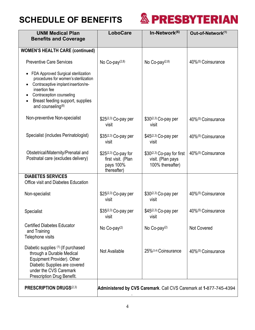

| <b>UNM Medical Plan</b><br><b>Benefits and Coverage</b>                                                                                                                                                                                             | <b>LoboCare</b>                                                        | In-Network <sup>(6)</sup>                                           | Out-of-Network <sup>(1)</sup>  |
|-----------------------------------------------------------------------------------------------------------------------------------------------------------------------------------------------------------------------------------------------------|------------------------------------------------------------------------|---------------------------------------------------------------------|--------------------------------|
|                                                                                                                                                                                                                                                     |                                                                        |                                                                     |                                |
| <b>WOMEN'S HEALTH CARE (continued)</b>                                                                                                                                                                                                              |                                                                        |                                                                     |                                |
| <b>Preventive Care Services</b>                                                                                                                                                                                                                     | No Co-pay $(2,8)$                                                      | No Co-pay <sup>(2,8)</sup>                                          | 40%(5) Coinsurance             |
| • FDA Approved Surgical sterilization<br>procedures for women's sterilization<br>Contraceptive implant insertion/re-<br>insertion fee<br>Contraception counseling<br>Breast feeding support, supplies<br>$\bullet$<br>and counseling <sup>(8)</sup> |                                                                        |                                                                     |                                |
| Non-preventive Non-specialist                                                                                                                                                                                                                       | \$25(2,3) Co-pay per<br>visit                                          | \$30(2,3) Co-pay per<br>visit                                       | 40%(5) Coinsurance             |
| Specialist (includes Perinatologist)                                                                                                                                                                                                                | \$35(2,3) Co-pay per<br>visit                                          | \$45(2,3) Co-pay per<br>visit                                       | 40%(5) Coinsurance             |
| Obstetrical/Maternity/Prenatal and<br>Postnatal care (excludes delivery)                                                                                                                                                                            | \$25(2,3) Co-pay for<br>first visit. (Plan<br>pays 100%<br>thereafter) | \$30(2,3) Co-pay for first<br>visit. (Plan pays<br>100% thereafter) | 40%(5) Coinsurance             |
| <b>DIABETES SERVICES</b>                                                                                                                                                                                                                            |                                                                        |                                                                     |                                |
| Office visit and Diabetes Education                                                                                                                                                                                                                 |                                                                        |                                                                     |                                |
| Non-specialist                                                                                                                                                                                                                                      | \$25(2,3) Co-pay per<br>visit                                          | \$30(2,3) Co-pay per<br>visit                                       | 40%(5) Coinsurance             |
| <b>Specialist</b>                                                                                                                                                                                                                                   | \$35(2,3) Co-pay per<br>visit                                          | \$45(2,3) Co-pay per<br>visit                                       | 40%(5) Coinsurance             |
| <b>Certified Diabetes Educator</b><br>and Training<br>Telephone visits                                                                                                                                                                              | No Co-pay <sup>(2)</sup>                                               | No Co-pay <sup>(2)</sup>                                            | <b>Not Covered</b>             |
| Diabetic supplies (1) (If purchased<br>through a Durable Medical<br>Equipment Provider). Other<br>Diabetic Supplies are covered<br>under the CVS Caremark<br>Prescription Drug Benefit.                                                             | Not Available                                                          | 25%(3,4) Coinsurance                                                | 40% <sup>(5)</sup> Coinsurance |
| <b>PRESCRIPTION DRUGS(2,3)</b>                                                                                                                                                                                                                      | Administered by CVS Caremark. Call CVS Caremark at 1-877-745-4394      |                                                                     |                                |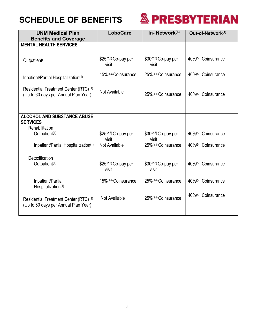

| <b>UNM Medical Plan</b>                                                                   | <b>LoboCare</b>               | In-Network <sup>(6)</sup>     | Out-of-Network <sup>(1)</sup> |
|-------------------------------------------------------------------------------------------|-------------------------------|-------------------------------|-------------------------------|
| <b>Benefits and Coverage</b>                                                              |                               |                               |                               |
| <b>MENTAL HEALTH SERVICES</b>                                                             |                               |                               |                               |
| Outpatient <sup>(1)</sup>                                                                 | \$25(2,3) Co-pay per<br>visit | \$30(2,3) Co-pay per<br>visit | 40%(5) Coinsurance            |
| Inpatient/Partial Hospitalization(1)                                                      | 15%(3,4) Coinsurance          | 25%(3,4) Coinsurance          | 40%(5) Coinsurance            |
| Residential Treatment Center (RTC) <sup>(1)</sup><br>(Up to 60 days per Annual Plan Year) | Not Available                 | 25%(3,4) Coinsurance          | 40%(5) Coinsurance            |
| <b>ALCOHOL AND SUBSTANCE ABUSE</b><br><b>SERVICES</b><br>Rehabilitation                   |                               |                               |                               |
| Outpatient <sup>(1)</sup>                                                                 | \$25(2,3) Co-pay per<br>visit | \$30(2,3) Co-pay per<br>visit | 40%(5) Coinsurance            |
| Inpatient/Partial Hospitalization(1)                                                      | Not Available                 | 25%(3,4) Coinsurance          | 40%(5) Coinsurance            |
| Detoxification                                                                            |                               |                               |                               |
| Outpatient <sup>(1)</sup>                                                                 | \$25(2,3) Co-pay per<br>visit | \$30(2,3) Co-pay per<br>visit | 40%(5) Coinsurance            |
| Inpatient/Partial<br>Hospitalization(1)                                                   | 15%(3,4) Coinsurance          | 25%(3,4) Coinsurance          | 40%(5) Coinsurance            |
| Residential Treatment Center (RTC) <sup>(1)</sup><br>(Up to 60 days per Annual Plan Year) | Not Available                 | 25%(3,4) Coinsurance          | 40%(5) Coinsurance            |
|                                                                                           |                               |                               |                               |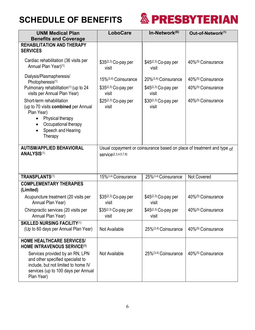

| <b>UNM Medical Plan</b><br><b>Benefits and Coverage</b>                                                                                                                                             | <b>LoboCare</b>               | In-Network <sup>(6)</sup>         | Out-of-Network <sup>(1)</sup>                                          |
|-----------------------------------------------------------------------------------------------------------------------------------------------------------------------------------------------------|-------------------------------|-----------------------------------|------------------------------------------------------------------------|
| <b>REHABILITATION AND THERAPY</b>                                                                                                                                                                   |                               |                                   |                                                                        |
| <b>SERVICES</b>                                                                                                                                                                                     |                               |                                   |                                                                        |
| Cardiac rehabilitation (36 visits per<br>Annual Plan Year)(1)                                                                                                                                       | \$35(2,3) Co-pay per<br>visit | \$45(2,3) Co-pay per<br>visit     | 40% <sup>(5)</sup> Coinsurance                                         |
| Dialysis/Plasmapheresis/<br>Photopheresis <sup>(1)</sup>                                                                                                                                            | 15%(3,4) Coinsurance          | 20% <sup>(3,4)</sup> Coinsurance  | 40%(5) Coinsurance                                                     |
| Pulmonary rehabilitation(1) (up to 24<br>visits per Annual Plan Year)                                                                                                                               | \$35(2,3) Co-pay per<br>visit | \$45(2,3) Co-pay per<br>visit     | 40% <sup>(5)</sup> Coinsurance                                         |
| Short-term rehabilitation<br>(up to 70 visits combined per Annual<br>Plan Year)<br>Physical therapy<br>$\bullet$<br>Occupational therapy<br>$\bullet$<br>Speech and Hearing<br>$\bullet$<br>Therapy | \$25(2,3) Co-pay per<br>visit | \$30(2,3) Co-pay per<br>visit     | 40%(5) Coinsurance                                                     |
| <b>AUTISM/APPLIED BEHAVIORAL</b><br><b>ANALYSIS(1)</b>                                                                                                                                              | service(2,3,4,5,7,9)          |                                   | Usual copayment or coinsurance based on place of treatment and type of |
| <b>TRANSPLANTS(1)</b>                                                                                                                                                                               | 15%(3,4) Coinsurance          | 25%(3,4) Coinsurance              | Not Covered                                                            |
| <b>COMPLEMENTARY THERAPIES</b><br>(Limited)                                                                                                                                                         |                               |                                   |                                                                        |
| Acupuncture treatment (20 visits per<br>Annual Plan Year)                                                                                                                                           | \$35(2,3) Co-pay per<br>visit | $$45^{(2,3)}$ Co-pay per<br>visit | 40% <sup>(5)</sup> Coinsurance                                         |
| Chiropractic services (20 visits per<br>Annual Plan Year)                                                                                                                                           | \$35(2,3) Co-pay per<br>visit | \$45(2,3) Co-pay per<br>visit     | 40%(5) Coinsurance                                                     |
| <b>SKILLED NURSING FACILITY(1)</b><br>(Up to 60 days per Annual Plan Year)                                                                                                                          | Not Available                 | 25%(3,4) Coinsurance              | 40%(5) Coinsurance                                                     |
| <b>HOME HEALTHCARE SERVICES/</b><br><b>HOME INTRAVENOUS SERVICE(1)</b>                                                                                                                              |                               |                                   |                                                                        |
| Services provided by an RN, LPN<br>and other specified specialist to<br>include, but not limited to home IV<br>services (up to 100 days per Annual<br>Plan Year)                                    | Not Available                 | 25%(3,4) Coinsurance              | 40% <sup>(5)</sup> Coinsurance                                         |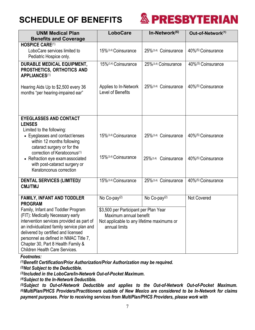

| <b>UNM Medical Plan</b>                                                                 | <b>LoboCare</b>                            | In-Network(6)            | Out-of-Network(1)  |
|-----------------------------------------------------------------------------------------|--------------------------------------------|--------------------------|--------------------|
| <b>Benefits and Coverage</b><br><b>HOSPICE CARE(1)</b>                                  |                                            |                          |                    |
| LoboCare services limited to                                                            | 15%(3,4) Coinsurance                       | 25%(3,4) Coinsurance     | 40%(5) Coinsurance |
| Pediatric Hospice only.                                                                 |                                            |                          |                    |
| <b>DURABLE MEDICAL EQUIPMENT,</b><br>PROSTHETICS, ORTHOTICS AND<br><b>APPLIANCES(1)</b> | 15%(3,4) Coinsurance                       | 25%(3,4) Coinsurance     | 40%(5) Coinsurance |
| Hearing Aids Up to \$2,500 every 36<br>months "per hearing-impaired ear"                | Applies to In-Network<br>Level of Benefits | 25%(3,4) Coinsurance     | 40%(5) Coinsurance |
| <b>EYEGLASSES AND CONTACT</b>                                                           |                                            |                          |                    |
| <b>LENSES</b>                                                                           |                                            |                          |                    |
| Limited to the following:<br>• Eyeglasses and contact lenses                            | 15%(3,4) Coinsurance                       | 25%(3,4) Coinsurance     | 40%(5) Coinsurance |
| within 12 months following                                                              |                                            |                          |                    |
| cataract surgery or for the                                                             |                                            |                          |                    |
| correction of Keratoconus <sup>(1)</sup><br>• Refraction eye exam associated            | 15%(3,4) Coinsurance                       | 25%(3,4) Coinsurance     | 40%(5) Coinsurance |
| with post-cataract surgery or<br>Keratonconus correction                                |                                            |                          |                    |
| <b>DENTAL SERVICES (LIMITED)/</b>                                                       | 15%(3,4) Coinsurance                       | 25%(3,4) Coinsurance     | 40%(5) Coinsurance |
| <b>CMJ/TMJ</b>                                                                          |                                            |                          |                    |
|                                                                                         |                                            |                          |                    |
| FAMILY, INFANT AND TODDLER<br><b>PROGRAM</b>                                            | No Co-pay <sup>(2)</sup>                   | No Co-pay <sup>(2)</sup> | <b>Not Covered</b> |
| Family, Infant and Toddler Program                                                      | \$3,500 per Participant per Plan Year      |                          |                    |
| (FIT): Medically Necessary early                                                        | Maximum annual benefit                     |                          |                    |
| intervention services provided as part of                                               | Not applicable to any lifetime maximums or |                          |                    |
| an individualized family service plan and                                               | annual limits                              |                          |                    |
| delivered by certified and licensed                                                     |                                            |                          |                    |
| personnel as defined in NMAC Title 7,                                                   |                                            |                          |                    |
| Chapter 30, Part 8 Health Family &<br><b>Children Health Care Services.</b>             |                                            |                          |                    |
|                                                                                         |                                            |                          |                    |

#### *Footnotes:*

*(1)Benefit Certification/Prior Authorization/Prior Authorization may be required.*

*(2)Not Subject to the Deductible.*

*(3)Included in the LoboCare/In-Network Out-of-Pocket Maximum.*

*(4)Subject to the In-Network Deductible.*

*(5)Subject to Out-of-Network Deductible and applies to the Out-of-Network Out-of-Pocket Maximum. (6)MultiPlan/PHCS Providers/Practitioners outside of New Mexico are considered to be In-Network for claims payment purposes. Prior to receiving services from MultiPlan/PHCS Providers, please work with*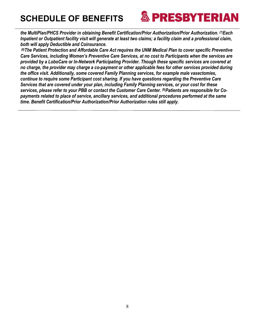

*the MultiPlan/PHCS Provider in obtaining Benefit Certification/Prior Authorization/Prior Authorization. (7)Each Inpatient or Outpatient facility visit will generate at least two claims; a facility claim and a professional claim, both will apply Deductible and Coinsurance.*

*(8)The Patient Protection and Affordable Care Act requires the UNM Medical Plan to cover specific Preventive Care Services, including Women's Preventive Care Services, at no cost to Participants when the services are provided by a LoboCare or In-Network Participating Provider. Though these specific services are covered at no charge, the provider may charge a co-payment or other applicable fees for other services provided during the office visit. Additionally, some covered Family Planning services, for example male vasectomies, continue to require some Participant cost sharing. If you have questions regarding the Preventive Care Services that are covered under your plan, including Family Planning services, or your cost for these services, please refer to your PBB or contact the Customer Care Center. (9)Patients are responsible for Copayments related to place of service, ancillary services, and additional procedures performed at the same time. Benefit Certification/Prior Authorization/Prior Authorization rules still apply.*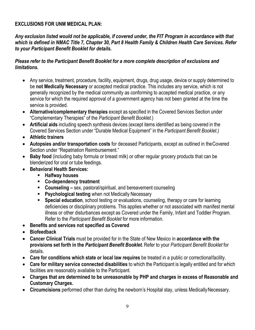#### **EXCLUSIONS FOR UNM MEDICAL PLAN:**

*Any exclusion listed would not be applicable, if covered under, the FIT Program in accordance with that which is defined in NMAC Title 7, Chapter 30, Part 8 Health Family & Children Health Care Services. Refer to your Participant Benefit Booklet for details.*

#### *Please refer to the Participant Benefit Booklet for a more complete description of exclusions and limitations.*

- Any service, treatment, procedure, facility, equipment, drugs, drug usage, device or supply determined to be **not Medically Necessary** or accepted medical practice. This includes any service, which is not generally recognized by the medical community as conforming to accepted medical practice, or any service for which the required approval of a government agency has not been granted at the time the service is provided.
- **Alternative/complementary therapies** except as specified in the Covered Services Section under "Complementary Therapies" of the *Participant Benefit Booklet*.)
- **Artificial aids** including speech synthesis devices (except items identified as being covered in the Covered Services Section under "Durable Medical Equipment" in the *Participant Benefit Booklet.)*
- **Athletic trainers**
- **Autopsies and/or transportation costs** for deceased Participants, except as outlined in theCovered Section under "Repatriation Reimbursement."
- **Baby food** (including baby formula or breast milk) or other regular grocery products that can be blenderized for oral or tube feedings.
- **Behavioral Health Services:**
	- **Halfway houses**
	- **Co-dependency treatment**
	- **Counseling –** sex, pastoral/spiritual, and bereavement counseling
	- **Psychological testing** when not Medically Necessary
	- **Special education**, school testing or evaluations, counseling, therapy or care for learning deficiencies or disciplinary problems. This applies whether or not associated with manifest mental illness or other disturbances except as Covered under the Family, Infant and Toddler Program. Refer to the *Participant Benefit Booklet* for more information.
- **Benefits and services not specified as Covered**
- **Biofeedback**
- **Cancer Clinical Trials** must be provided for in the State of New Mexico in **accordance with the provisions set forth in the** *Participant Benefit Booklet.* Refer to your *Participant Benefit Booklet* for details.
- **Care for conditions which state or local law requires** be treated in a public or correctionalfacility.
- **Care for military service connected disabilities** to which the Participant is legally entitled and for which facilities are reasonably available to the Participant.
- **Charges that are determined to be unreasonable by PHP and charges in excess of Reasonable and Customary Charges.**
- **Circumcisions** performed other than during the newborn's Hospital stay, unless Medically Necessary.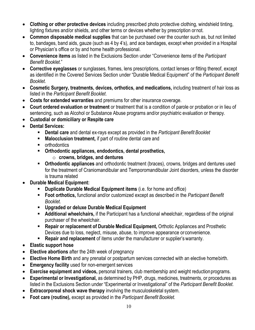- **Clothing or other protective devices** including prescribed photo protective clothing, windshield tinting, lighting fixtures and/or shields, and other terms or devices whether by prescription ornot.
- **Common disposable medical supplies** that can be purchased over the counter such as, but not limited to, bandages, band aids, gauze (such as 4 by 4's), and ace bandages, except when provided in a Hospital or Physician's office or by and home health professional.
- **Convenience items** as listed in the Exclusions Section under "Convenience items of the *Participant Benefit Booklet*."
- **Corrective eyeglasses** or sunglasses, frames, lens prescriptions, contact lenses or fitting thereof, except as identified in the Covered Services Section under "Durable Medical Equipment" of the *Participant Benefit Booklet*.
- **Cosmetic Surgery, treatments, devices, orthotics, and medications,** including treatment of hair loss as listed in the *Participant Benefit Booklet*.
- **Costs for extended warranties** and premiums for other insurance coverage.
- **Court ordered evaluation or treatment** or treatment that is a condition of parole or probation or in lieu of sentencing, such as Alcohol or Substance Abuse programs and/or psychiatric evaluation or therapy.
- **Custodial or domiciliary or Respite care**
- **Dental Services:**
	- **Dental care** and dental ex-rays except as provided in the *Participant Benefit Booklet*
	- **Malocclusion treatment,** if part of routine dental care and
	- **•** orthodontics
	- **Orthodontic appliances, endodontics, dental prosthetics,**
		- o **crowns, bridges, and dentures**
	- **Orthodontic appliances** and orthodontic treatment (braces), crowns, bridges and dentures used for the treatment of Craniomandibular and Temporomandibular Joint disorders, unless the disorder is trauma related
- **Durable Medical Equipment:**
	- **Duplicate Durable Medical Equipment items** (i.e. for home and office)
	- **Foot orthotics,** functional and/or customized except as described in the *Participant Benefit Booklet.*
	- **Upgraded or deluxe Durable Medical Equipment**
	- **Additional wheelchairs,** if the Participant has a functional wheelchair, regardless of the original purchaser of the wheelchair.
	- **Repair or replacement of Durable Medical Equipment,** Orthotic Appliances and Prosthetic Devices due to loss, neglect, misuse, abuse, to improve appearance orconvenience.
	- **Repair and replacement** of items under the manufacturer or supplier's warranty.
- **Elastic support hose**
- **Elective abortions** after the 24th week of pregnancy
- **Elective Home Birth** and any prenatal or postpartum services connected with an elective homebirth.
- **Emergency facility** used for non-emergent services
- **Exercise equipment and videos,** personal trainers, club membership and weight reductionprograms.
- **Experimental or Investigational,** as determined by PHP, drugs, medicines, treatments, or procedures as listed in the Exclusions Section under "Experimental or Investigational" of the *Participant Benefit Booklet.*
- **Extracorporeal shock wave therapy** involving the musculoskeletal system.
- **Foot care (routine),** except as provided in the *Participant Benefit Booklet.*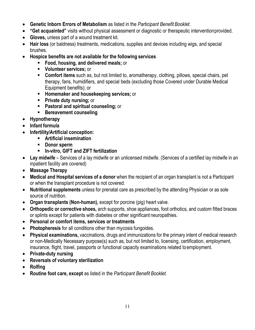- **Genetic Inborn Errors of Metabolism** as listed in the *Participant Benefit Booklet.*
- **"Get acquainted"** visits without physical assessment or diagnostic or therapeutic interventionprovided.
- **Gloves,** unless part of a wound treatment kit.
- **Hair loss** (or baldness) treatments, medications, supplies and devices including wigs, and special brushes.
- **Hospice benefits are not available for the following services**
	- **Food, housing, and delivered meals;** or
	- **Volunteer services;** or
	- **Comfort items** such as, but not limited to, aromatherapy, clothing, pillows, special chairs, pet therapy, fans, humidifiers, and special beds (excluding those Covered under Durable Medical Equipment benefits); or
	- **Homemaker and housekeeping services; or**
	- **Private duty nursing; or**
	- **Pastoral and spiritual counseling; or**
	- **Bereavement counseling**
- **Hypnotherapy**
- **Infant formula**
- **Infertility/Artificial conception:**
	- **Artificial insemination**
	- **Donor sperm**
	- **In-vitro, GIFT and ZIFT fertilization**
- **Lay midwife** Services of a lay midwife or an unlicensed midwife. (Services of a certified lay midwife in an inpatient facility are covered)
- **Massage Therapy**
- **Medical and Hospital services of a donor** when the recipient of an organ transplant is not a Participant or when the transplant procedure is not covered.
- **Nutritional supplements** unless for prenatal care as prescribed by the attending Physician or as sole source of nutrition.
- **Organ transplants (Non-human),** except for porcine (pig) heart valve.
- **Orthopedic or corrective shoes,** arch supports, shoe appliances, foot orthotics, and custom fitted braces or splints except for patients with diabetes or other significant neuropathies.
- **Personal or comfort items, services or treatments**
- **Photopheresis** for all conditions other than mycosis fungoides.
- **Physical examinations,** vaccinations, drugs and immunizations for the primary intent of medical research or non-Medically Necessary purpose(s) such as, but not limited to, licensing, certification, employment, insurance, flight, travel, passports or functional capacity examinations related toemployment.
- **Private-duty nursing**
- **Reversals of voluntary sterilization**
- **Rolfing**
- **Routine foot care, except** as listed in the *Participant Benefit Booklet.*